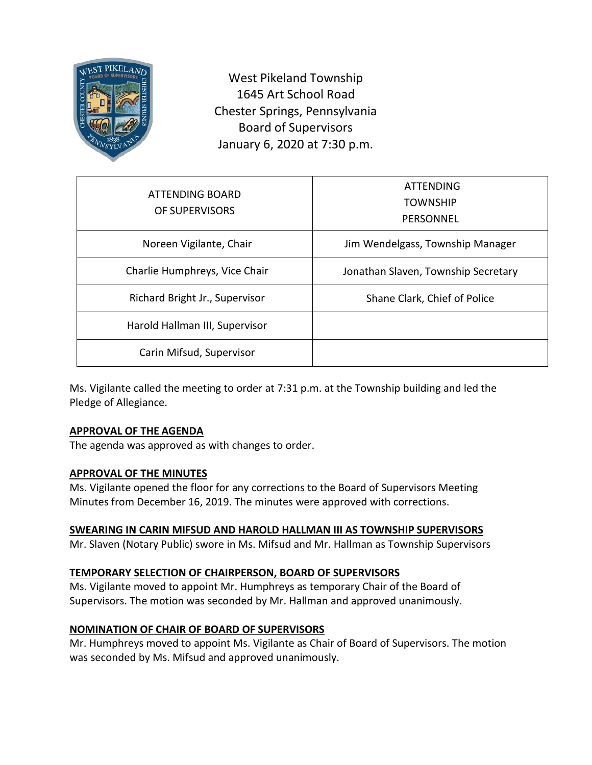

West Pikeland Township 1645 Art School Road Chester Springs, Pennsylvania Board of Supervisors January 6, 2020 at 7:30 p.m.

| ATTENDING BOARD<br>OF SUPERVISORS | ATTENDING<br><b>TOWNSHIP</b><br>PERSONNEL |
|-----------------------------------|-------------------------------------------|
| Noreen Vigilante, Chair           | Jim Wendelgass, Township Manager          |
| Charlie Humphreys, Vice Chair     | Jonathan Slaven, Township Secretary       |
| Richard Bright Jr., Supervisor    | Shane Clark, Chief of Police              |
| Harold Hallman III, Supervisor    |                                           |
| Carin Mifsud, Supervisor          |                                           |

Ms. Vigilante called the meeting to order at 7:31 p.m. at the Township building and led the Pledge of Allegiance.

# **APPROVAL OF THE AGENDA**

The agenda was approved as with changes to order.

### **APPROVAL OF THE MINUTES**

Ms. Vigilante opened the floor for any corrections to the Board of Supervisors Meeting Minutes from December 16, 2019. The minutes were approved with corrections.

### **SWEARING IN CARIN MIFSUD AND HAROLD HALLMAN III AS TOWNSHIP SUPERVISORS**

Mr. Slaven (Notary Public) swore in Ms. Mifsud and Mr. Hallman as Township Supervisors

# **TEMPORARY SELECTION OF CHAIRPERSON, BOARD OF SUPERVISORS**

Ms. Vigilante moved to appoint Mr. Humphreys as temporary Chair of the Board of Supervisors. The motion was seconded by Mr. Hallman and approved unanimously.

# **NOMINATION OF CHAIR OF BOARD OF SUPERVISORS**

Mr. Humphreys moved to appoint Ms. Vigilante as Chair of Board of Supervisors. The motion was seconded by Ms. Mifsud and approved unanimously.